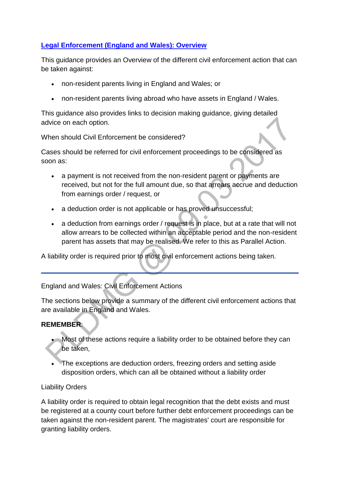# **[Legal Enforcement \(England and Wales\): Overview](http://np-cmg-sharepoint.link2.gpn.gov.uk/sites/policy-law-and-decision-making-guidance/Pages/Legal%20Enforcement%20-%20England%20and%20Wales/Legal-Enforcement---England-and-Wales---Overview.aspx)**

This guidance provides an Overview of the different civil enforcement action that can be taken against:

- non-resident parents living in England and Wales; or
- non-resident parents living abroad who have assets in England / Wales.

This guidance also provides links to decision making guidance, giving detailed advice on each option.

### When should Civil Enforcement be considered?

Cases should be referred for civil enforcement proceedings to be considered as soon as:

- a payment is not received from the non-resident parent or payments are received, but not for the full amount due, so that arrears accrue and deduction from earnings order / request, or
- a deduction order is not applicable or has proved unsuccessful;
- a deduction from earnings order / request is in place, but at a rate that will not allow arrears to be collected within an acceptable period and the non-resident parent has assets that may be realised. We refer to this as Parallel Action.

A liability order is required prior to most civil enforcement actions being taken.

England and Wales: Civil Enforcement Actions

The sections below provide a summary of the different civil enforcement actions that are available in England and Wales.

# **REMEMBER**:

- Most of these actions require a liability order to be obtained before they can be taken,
- The exceptions are deduction orders, freezing orders and setting aside disposition orders, which can all be obtained without a liability order

### Liability Orders

A liability order is required to obtain legal recognition that the debt exists and must be registered at a county court before further debt enforcement proceedings can be taken against the non-resident parent. The magistrates' court are responsible for granting liability orders.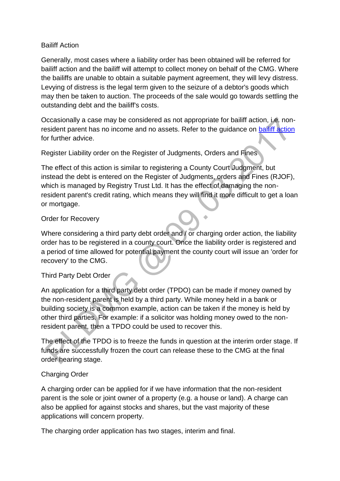#### Bailiff Action

Generally, most cases where a liability order has been obtained will be referred for bailiff action and the bailiff will attempt to collect money on behalf of the CMG. Where the bailiffs are unable to obtain a suitable payment agreement, they will levy distress. Levying of distress is the legal term given to the seizure of a debtor's goods which may then be taken to auction. The proceeds of the sale would go towards settling the outstanding debt and the bailiff's costs.

Occasionally a case may be considered as not appropriate for bailiff action, i.e. nonresident parent has no income and no assets. Refer to the guidance on [bailiff action](http://np-cmg-sharepoint.link2.gpn.gov.uk/sites/policy-law-and-decision-making-guidance/Pages/Legal%20Enforcement%20-%20England%20and%20Wales/Bailiffs.aspx) for further advice.

Register Liability order on the Register of Judgments, Orders and Fines

The effect of this action is similar to registering a County Court Judgment, but instead the debt is entered on the Register of Judgments, orders and Fines (RJOF), which is managed by Registry Trust Ltd. It has the effect of damaging the nonresident parent's credit rating, which means they will find it more difficult to get a loan or mortgage.

### Order for Recovery

Where considering a third party debt order and / or charging order action, the liability order has to be registered in a county court. Once the liability order is registered and a period of time allowed for potential payment the county court will issue an 'order for recovery' to the CMG.

### Third Party Debt Order

An application for a third party debt order (TPDO) can be made if money owned by the non-resident parent is held by a third party. While money held in a bank or building society is a common example, action can be taken if the money is held by other third parties. For example: if a solicitor was holding money owed to the nonresident parent, then a TPDO could be used to recover this.

The effect of the TPDO is to freeze the funds in question at the interim order stage. If funds are successfully frozen the court can release these to the CMG at the final order hearing stage.

#### Charging Order

A charging order can be applied for if we have information that the non-resident parent is the sole or joint owner of a property (e.g. a house or land). A charge can also be applied for against stocks and shares, but the vast majority of these applications will concern property.

The charging order application has two stages, interim and final.